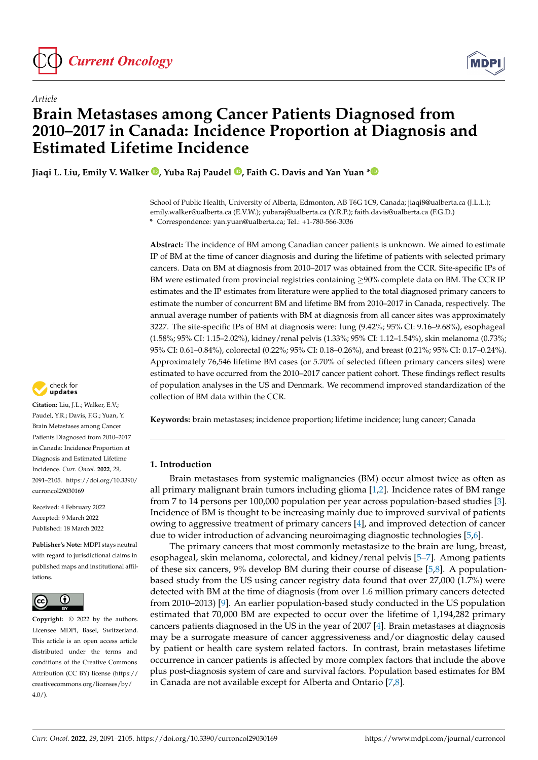

*Article*



# **Brain Metastases among Cancer Patients Diagnosed from 2010–2017 in Canada: Incidence Proportion at Diagnosis and Estimated Lifetime Incidence**

**Jiaqi L. Liu, Emily V. Walker [,](https://orcid.org/0000-0003-3143-2255) Yuba Raj Paudel [,](https://orcid.org/0000-0003-3403-4359) Faith G. Davis and Yan Yuan [\\*](https://orcid.org/0000-0002-2073-9924)**

School of Public Health, University of Alberta, Edmonton, AB T6G 1C9, Canada; jiaqi8@ualberta.ca (J.L.L.); emily.walker@ualberta.ca (E.V.W.); yubaraj@ualberta.ca (Y.R.P.); faith.davis@ualberta.ca (F.G.D.) **\*** Correspondence: yan.yuan@ualberta.ca; Tel.: +1-780-566-3036

**Abstract:** The incidence of BM among Canadian cancer patients is unknown. We aimed to estimate IP of BM at the time of cancer diagnosis and during the lifetime of patients with selected primary cancers. Data on BM at diagnosis from 2010–2017 was obtained from the CCR. Site-specific IPs of BM were estimated from provincial registries containing ≥90% complete data on BM. The CCR IP estimates and the IP estimates from literature were applied to the total diagnosed primary cancers to estimate the number of concurrent BM and lifetime BM from 2010–2017 in Canada, respectively. The annual average number of patients with BM at diagnosis from all cancer sites was approximately 3227. The site-specific IPs of BM at diagnosis were: lung (9.42%; 95% CI: 9.16–9.68%), esophageal (1.58%; 95% CI: 1.15–2.02%), kidney/renal pelvis (1.33%; 95% CI: 1.12–1.54%), skin melanoma (0.73%; 95% CI: 0.61–0.84%), colorectal (0.22%; 95% CI: 0.18–0.26%), and breast (0.21%; 95% CI: 0.17–0.24%). Approximately 76,546 lifetime BM cases (or 5.70% of selected fifteen primary cancers sites) were estimated to have occurred from the 2010–2017 cancer patient cohort. These findings reflect results of population analyses in the US and Denmark. We recommend improved standardization of the collection of BM data within the CCR.

**Keywords:** brain metastases; incidence proportion; lifetime incidence; lung cancer; Canada

# **1. Introduction**

Brain metastases from systemic malignancies (BM) occur almost twice as often as all primary malignant brain tumors including glioma [\[1](#page-12-0)[,2\]](#page-12-1). Incidence rates of BM range from 7 to 14 persons per 100,000 population per year across population-based studies [\[3\]](#page-12-2). Incidence of BM is thought to be increasing mainly due to improved survival of patients owing to aggressive treatment of primary cancers [\[4\]](#page-12-3), and improved detection of cancer due to wider introduction of advancing neuroimaging diagnostic technologies [\[5,](#page-12-4)[6\]](#page-12-5).

The primary cancers that most commonly metastasize to the brain are lung, breast, esophageal, skin melanoma, colorectal, and kidney/renal pelvis [\[5–](#page-12-4)[7\]](#page-12-6). Among patients of these six cancers, 9% develop BM during their course of disease [\[5,](#page-12-4)[8\]](#page-12-7). A populationbased study from the US using cancer registry data found that over 27,000 (1.7%) were detected with BM at the time of diagnosis (from over 1.6 million primary cancers detected from 2010–2013) [\[9\]](#page-12-8). An earlier population-based study conducted in the US population estimated that 70,000 BM are expected to occur over the lifetime of 1,194,282 primary cancers patients diagnosed in the US in the year of 2007 [\[4\]](#page-12-3). Brain metastases at diagnosis may be a surrogate measure of cancer aggressiveness and/or diagnostic delay caused by patient or health care system related factors. In contrast, brain metastases lifetime occurrence in cancer patients is affected by more complex factors that include the above plus post-diagnosis system of care and survival factors. Population based estimates for BM in Canada are not available except for Alberta and Ontario [\[7](#page-12-6)[,8\]](#page-12-7).



**Citation:** Liu, J.L.; Walker, E.V.; Paudel, Y.R.; Davis, F.G.; Yuan, Y. Brain Metastases among Cancer Patients Diagnosed from 2010–2017 in Canada: Incidence Proportion at Diagnosis and Estimated Lifetime Incidence. *Curr. Oncol.* **2022**, *29*, 2091–2105. [https://doi.org/10.3390/](https://doi.org/10.3390/curroncol29030169) [curroncol29030169](https://doi.org/10.3390/curroncol29030169)

Received: 4 February 2022 Accepted: 9 March 2022 Published: 18 March 2022

**Publisher's Note:** MDPI stays neutral with regard to jurisdictional claims in published maps and institutional affiliations.



**Copyright:** © 2022 by the authors. Licensee MDPI, Basel, Switzerland. This article is an open access article distributed under the terms and conditions of the Creative Commons Attribution (CC BY) license [\(https://](https://creativecommons.org/licenses/by/4.0/) [creativecommons.org/licenses/by/](https://creativecommons.org/licenses/by/4.0/)  $4.0/$ ).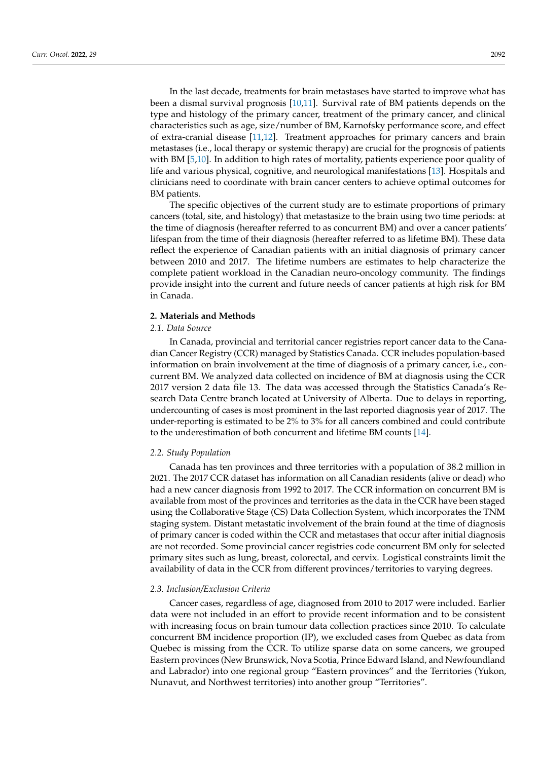In the last decade, treatments for brain metastases have started to improve what has been a dismal survival prognosis [\[10,](#page-13-0)[11\]](#page-13-1). Survival rate of BM patients depends on the type and histology of the primary cancer, treatment of the primary cancer, and clinical characteristics such as age, size/number of BM, Karnofsky performance score, and effect of extra-cranial disease [\[11](#page-13-1)[,12\]](#page-13-2). Treatment approaches for primary cancers and brain metastases (i.e., local therapy or systemic therapy) are crucial for the prognosis of patients with BM [\[5,](#page-12-4)[10\]](#page-13-0). In addition to high rates of mortality, patients experience poor quality of life and various physical, cognitive, and neurological manifestations [\[13\]](#page-13-3). Hospitals and clinicians need to coordinate with brain cancer centers to achieve optimal outcomes for BM patients.

The specific objectives of the current study are to estimate proportions of primary cancers (total, site, and histology) that metastasize to the brain using two time periods: at the time of diagnosis (hereafter referred to as concurrent BM) and over a cancer patients' lifespan from the time of their diagnosis (hereafter referred to as lifetime BM). These data reflect the experience of Canadian patients with an initial diagnosis of primary cancer between 2010 and 2017. The lifetime numbers are estimates to help characterize the complete patient workload in the Canadian neuro-oncology community. The findings provide insight into the current and future needs of cancer patients at high risk for BM in Canada.

#### **2. Materials and Methods**

# *2.1. Data Source*

In Canada, provincial and territorial cancer registries report cancer data to the Canadian Cancer Registry (CCR) managed by Statistics Canada. CCR includes population-based information on brain involvement at the time of diagnosis of a primary cancer, i.e., concurrent BM. We analyzed data collected on incidence of BM at diagnosis using the CCR 2017 version 2 data file 13. The data was accessed through the Statistics Canada's Research Data Centre branch located at University of Alberta. Due to delays in reporting, undercounting of cases is most prominent in the last reported diagnosis year of 2017. The under-reporting is estimated to be 2% to 3% for all cancers combined and could contribute to the underestimation of both concurrent and lifetime BM counts [\[14\]](#page-13-4).

#### *2.2. Study Population*

Canada has ten provinces and three territories with a population of 38.2 million in 2021. The 2017 CCR dataset has information on all Canadian residents (alive or dead) who had a new cancer diagnosis from 1992 to 2017. The CCR information on concurrent BM is available from most of the provinces and territories as the data in the CCR have been staged using the Collaborative Stage (CS) Data Collection System, which incorporates the TNM staging system. Distant metastatic involvement of the brain found at the time of diagnosis of primary cancer is coded within the CCR and metastases that occur after initial diagnosis are not recorded. Some provincial cancer registries code concurrent BM only for selected primary sites such as lung, breast, colorectal, and cervix. Logistical constraints limit the availability of data in the CCR from different provinces/territories to varying degrees.

#### *2.3. Inclusion/Exclusion Criteria*

Cancer cases, regardless of age, diagnosed from 2010 to 2017 were included. Earlier data were not included in an effort to provide recent information and to be consistent with increasing focus on brain tumour data collection practices since 2010. To calculate concurrent BM incidence proportion (IP), we excluded cases from Quebec as data from Quebec is missing from the CCR. To utilize sparse data on some cancers, we grouped Eastern provinces (New Brunswick, Nova Scotia, Prince Edward Island, and Newfoundland and Labrador) into one regional group "Eastern provinces" and the Territories (Yukon, Nunavut, and Northwest territories) into another group "Territories".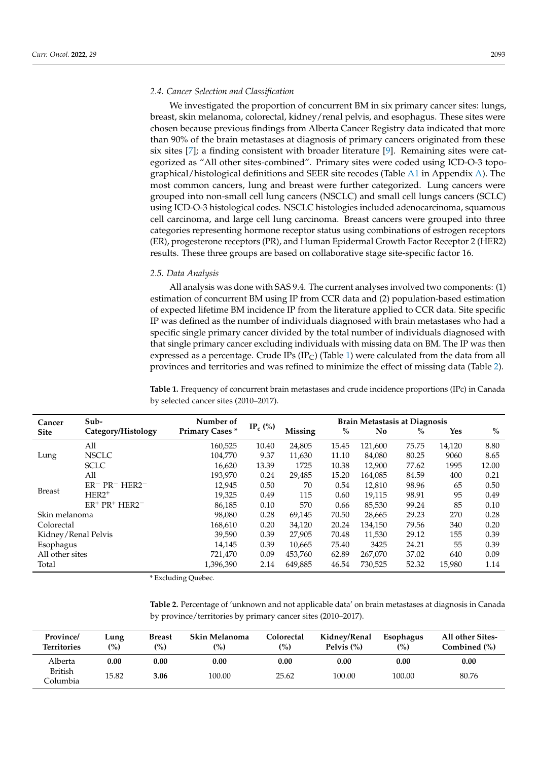#### *2.4. Cancer Selection and Classification*

We investigated the proportion of concurrent BM in six primary cancer sites: lungs, breast, skin melanoma, colorectal, kidney/renal pelvis, and esophagus. These sites were chosen because previous findings from Alberta Cancer Registry data indicated that more than 90% of the brain metastases at diagnosis of primary cancers originated from these six sites  $[7]$ ; a finding consistent with broader literature  $[9]$ . Remaining sites were categorized as "All other sites-combined". Primary sites were coded using ICD-O-3 topographical/histological definitions and SEER site recodes (Table  $A1$  in Appendix  $A$ ). The most common cancers, lung and breast were further categorized. Lung cancers were grouped into non-small cell lung cancers (NSCLC) and small cell lungs cancers (SCLC) using ICD-O-3 histological codes. NSCLC histologies included adenocarcinoma, squamous cell carcinoma, and large cell lung carcinoma. Breast cancers were grouped into three categories representing hormone receptor status using combinations of estrogen receptors (ER), progesterone receptors (PR), and Human Epidermal Growth Factor Receptor 2 (HER2) results. These three groups are based on collaborative stage site-specific factor 16.

# *2.5. Data Analysis*

All analysis was done with SAS 9.4. The current analyses involved two components: (1) estimation of concurrent BM using IP from CCR data and (2) population-based estimation of expected lifetime BM incidence IP from the literature applied to CCR data. Site specific IP was defined as the number of individuals diagnosed with brain metastases who had a specific single primary cancer divided by the total number of individuals diagnosed with that single primary cancer excluding individuals with missing data on BM. The IP was then expressed as a percentage. Crude IPs (IP<sub>C</sub>) (Table [1\)](#page-2-0) were calculated from the data from all provinces and territories and was refined to minimize the effect of missing data (Table [2\)](#page-2-1).

<span id="page-2-0"></span>**Table 1.** Frequency of concurrent brain metastases and crude incidence proportions (IPc) in Canada by selected cancer sites (2010–2017).

| Cancer              | Sub-               | Number of             |                                 | <b>Brain Metastasis at Diagnosis</b> |       |                |       |        |       |  |  |
|---------------------|--------------------|-----------------------|---------------------------------|--------------------------------------|-------|----------------|-------|--------|-------|--|--|
| <b>Site</b>         | Category/Histology | <b>Primary Cases*</b> | IP <sub>c</sub> $\frac{\%}{\ }$ | Missing                              | $\%$  | N <sub>0</sub> | $\%$  | Yes    | $\%$  |  |  |
|                     | All                | 160,525               | 10.40                           | 24,805                               | 15.45 | 121,600        | 75.75 | 14,120 | 8.80  |  |  |
| Lung                | <b>NSCLC</b>       | 104,770               | 9.37                            | 11,630                               | 11.10 | 84,080         | 80.25 | 9060   | 8.65  |  |  |
|                     | <b>SCLC</b>        | 16,620                | 13.39                           | 1725                                 | 10.38 | 12,900         | 77.62 | 1995   | 12.00 |  |  |
|                     | All                | 193,970               | 0.24                            | 29,485                               | 15.20 | 164,085        | 84.59 | 400    | 0.21  |  |  |
| <b>Breast</b>       | $ER^- PR^- HER2^-$ | 12,945                | 0.50                            | 70                                   | 0.54  | 12,810         | 98.96 | 65     | 0.50  |  |  |
|                     | $HER2+$            | 19,325                | 0.49                            | 115                                  | 0.60  | 19.115         | 98.91 | 95     | 0.49  |  |  |
|                     | $ER^+ PR^+ HER2^-$ | 86,185                | 0.10                            | 570                                  | 0.66  | 85,530         | 99.24 | 85     | 0.10  |  |  |
| Skin melanoma       |                    | 98,080                | 0.28                            | 69,145                               | 70.50 | 28,665         | 29.23 | 270    | 0.28  |  |  |
| Colorectal          |                    | 168,610               | 0.20                            | 34.120                               | 20.24 | 134.150        | 79.56 | 340    | 0.20  |  |  |
| Kidney/Renal Pelvis |                    | 39,590                | 0.39                            | 27,905                               | 70.48 | 11,530         | 29.12 | 155    | 0.39  |  |  |
| Esophagus           |                    | 14,145                | 0.39                            | 10,665                               | 75.40 | 3425           | 24.21 | 55     | 0.39  |  |  |
| All other sites     |                    | 721,470               | 0.09                            | 453.760                              | 62.89 | 267.070        | 37.02 | 640    | 0.09  |  |  |
| Total               |                    | 1,396,390             | 2.14                            | 649,885                              | 46.54 | 730,525        | 52.32 | 15,980 | 1.14  |  |  |

\* Excluding Quebec.

<span id="page-2-1"></span>**Table 2.** Percentage of 'unknown and not applicable data' on brain metastases at diagnosis in Canada by province/territories by primary cancer sites (2010–2017).

| Province/<br><b>Territories</b> | Lung<br>$\binom{0}{0}$ | <b>Breast</b><br>(0) | <b>Skin Melanoma</b><br>(%) | Colorectal<br>(%) | Kidney/Renal<br>Pelvis $(\%)$ | Esophagus<br>(%) | <b>All other Sites-</b><br>Combined (%) |
|---------------------------------|------------------------|----------------------|-----------------------------|-------------------|-------------------------------|------------------|-----------------------------------------|
| Alberta                         | 0.00                   | $0.00\,$             | $0.00\,$                    | 0.00              | $0.00\,$                      | 0.00             | 0.00                                    |
| British<br>Columbia             | 15.82                  | 3.06                 | 100.00                      | 25.62             | 100.00                        | 100.00           | 80.76                                   |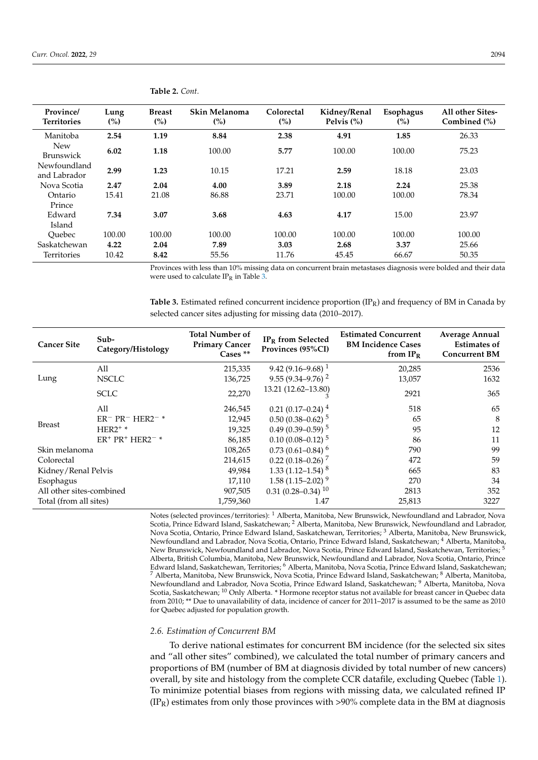| Province/<br><b>Territories</b> | Lung<br>(%) | <b>Breast</b><br>(%) | Skin Melanoma<br>$\binom{0}{0}$ | Colorectal<br>(%) | Kidney/Renal<br>Pelvis $(\%)$ | Esophagus<br>$\binom{0}{0}$ | All other Sites-<br>Combined $(\% )$ |
|---------------------------------|-------------|----------------------|---------------------------------|-------------------|-------------------------------|-----------------------------|--------------------------------------|
| Manitoba                        | 2.54        | 1.19                 | 8.84                            | 2.38              | 4.91                          | 1.85                        | 26.33                                |
| <b>New</b><br><b>Brunswick</b>  | 6.02        | 1.18                 | 100.00                          | 5.77              | 100.00                        | 100.00                      | 75.23                                |
| Newfoundland<br>and Labrador    | 2.99        | 1.23                 | 10.15                           | 17.21             | 2.59                          | 18.18                       | 23.03                                |
| Nova Scotia                     | 2.47        | 2.04                 | 4.00                            | 3.89              | 2.18                          | 2.24                        | 25.38                                |
| Ontario                         | 15.41       | 21.08                | 86.88                           | 23.71             | 100.00                        | 100.00                      | 78.34                                |
| Prince                          |             |                      |                                 |                   |                               |                             |                                      |
| Edward                          | 7.34        | 3.07                 | 3.68                            | 4.63              | 4.17                          | 15.00                       | 23.97                                |
| Island                          |             |                      |                                 |                   |                               |                             |                                      |
| Ouebec                          | 100.00      | 100.00               | 100.00                          | 100.00            | 100.00                        | 100.00                      | 100.00                               |
| Saskatchewan                    | 4.22        | 2.04                 | 7.89                            | 3.03              | 2.68                          | 3.37                        | 25.66                                |
| Territories                     | 10.42       | 8.42                 | 55.56                           | 11.76             | 45.45                         | 66.67                       | 50.35                                |

**Table 2.** *Cont.*

Provinces with less than 10% missing data on concurrent brain metastases diagnosis were bolded and their data were used to calculate  $IP_R$  in Table [3.](#page-3-0)

<span id="page-3-0"></span>**Table 3.** Estimated refined concurrent incidence proportion (IPR) and frequency of BM in Canada by selected cancer sites adjusting for missing data (2010–2017).

| <b>Cancer Site</b>       | Sub-<br>Category/Histology | <b>Total Number of</b><br><b>Primary Cancer</b><br>Cases ** | $IPR$ from Selected<br>Provinces (95%CI) | <b>Estimated Concurrent</b><br><b>BM Incidence Cases</b><br>from $IP_R$ | <b>Average Annual</b><br><b>Estimates of</b><br><b>Concurrent BM</b> |
|--------------------------|----------------------------|-------------------------------------------------------------|------------------------------------------|-------------------------------------------------------------------------|----------------------------------------------------------------------|
|                          | All                        | 215,335                                                     | $9.42(9.16 - 9.68)^{1}$                  | 20,285                                                                  | 2536                                                                 |
| Lung                     | <b>NSCLC</b>               | 136,725                                                     | $9.55(9.34 - 9.76)^2$                    | 13,057                                                                  | 1632                                                                 |
|                          | <b>SCLC</b>                | 22,270                                                      | 13.21 (12.62-13.80)                      | 2921                                                                    | 365                                                                  |
|                          | All                        | 246,545                                                     | $0.21(0.17-0.24)^4$                      | 518                                                                     | 65                                                                   |
|                          | $ER^- PR^- HER2^-$         | 12,945                                                      | $0.50(0.38 - 0.62)^5$                    | 65                                                                      | 8                                                                    |
| <b>Breast</b>            | $HER2+ *$                  | 19,325                                                      | 0.49 $(0.39 - 0.59)^5$                   | 95                                                                      | 12                                                                   |
|                          | $ER^+$ $PR^+$ $HER2^ ^*$   | 86,185                                                      | $0.10(0.08 - 0.12)^5$                    | 86                                                                      | 11                                                                   |
| Skin melanoma            |                            | 108,265                                                     | $0.73(0.61 - 0.84)^6$                    | 790                                                                     | 99                                                                   |
| Colorectal               |                            | 214,615                                                     | $0.22(0.18-0.26)^7$                      | 472                                                                     | 59                                                                   |
| Kidney/Renal Pelvis      |                            | 49,984                                                      | $1.33(1.12 - 1.54)^{8}$                  | 665                                                                     | 83                                                                   |
| Esophagus                |                            | 17,110                                                      | $1.58(1.15-2.02)^9$                      | 270                                                                     | 34                                                                   |
| All other sites-combined |                            | 907,505                                                     | $0.31(0.28 - 0.34)^{10}$                 | 2813                                                                    | 352                                                                  |
| Total (from all sites)   |                            | 1,759,360                                                   | 1.47                                     | 25,813                                                                  | 3227                                                                 |

Notes (selected provinces/territories): <sup>1</sup> Alberta, Manitoba, New Brunswick, Newfoundland and Labrador, Nova Scotia, Prince Edward Island, Saskatchewan; <sup>2</sup> Alberta, Manitoba, New Brunswick, Newfoundland and Labrador, Nova Scotia, Ontario, Prince Edward Island, Saskatchewan, Territories; <sup>3</sup> Alberta, Manitoba, New Brunswick, Newfoundland and Labrador, Nova Scotia, Ontario, Prince Edward Island, Saskatchewan; <sup>4</sup> Alberta, Manitoba, New Brunswick, Newfoundland and Labrador, Nova Scotia, Prince Edward Island, Saskatchewan, Territories; <sup>5</sup> Alberta, British Columbia, Manitoba, New Brunswick, Newfoundland and Labrador, Nova Scotia, Ontario, Prince Edward Island, Saskatchewan, Territories; <sup>6</sup> Alberta, Manitoba, Nova Scotia, Prince Edward Island, Saskatchewan; <sup>7</sup> Alberta, Manitoba, New Brunswick, Nova Scotia, Prince Edward Island, Saskatchewan; <sup>8</sup> Alberta, Manitoba, Newfoundland and Labrador, Nova Scotia, Prince Edward Island, Saskatchewan; <sup>9</sup> Alberta, Manitoba, Nova Scotia, Saskatchewan; <sup>10</sup> Only Alberta. \* Hormone receptor status not available for breast cancer in Quebec data from 2010; \*\* Due to unavailability of data, incidence of cancer for 2011–2017 is assumed to be the same as 2010 for Quebec adjusted for population growth.

#### *2.6. Estimation of Concurrent BM*

To derive national estimates for concurrent BM incidence (for the selected six sites and "all other sites" combined), we calculated the total number of primary cancers and proportions of BM (number of BM at diagnosis divided by total number of new cancers) overall, by site and histology from the complete CCR datafile, excluding Quebec (Table [1\)](#page-2-0). To minimize potential biases from regions with missing data, we calculated refined IP  $(IP_R)$  estimates from only those provinces with >90% complete data in the BM at diagnosis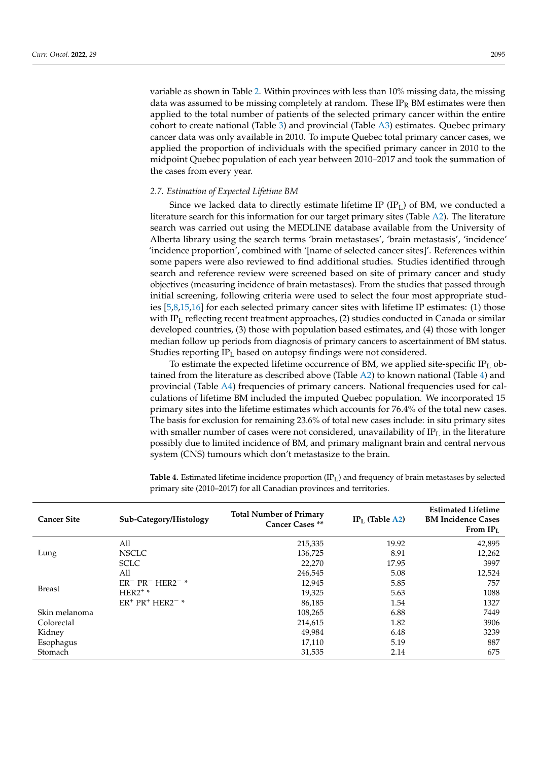variable as shown in Table [2.](#page-2-1) Within provinces with less than 10% missing data, the missing data was assumed to be missing completely at random. These  $IP_R$  BM estimates were then applied to the total number of patients of the selected primary cancer within the entire cohort to create national (Table [3\)](#page-3-0) and provincial (Table [A3\)](#page-10-0) estimates. Quebec primary cancer data was only available in 2010. To impute Quebec total primary cancer cases, we applied the proportion of individuals with the specified primary cancer in 2010 to the midpoint Quebec population of each year between 2010–2017 and took the summation of the cases from every year.

#### *2.7. Estimation of Expected Lifetime BM*

Since we lacked data to directly estimate lifetime IP (IP<sub>L</sub>) of BM, we conducted a literature search for this information for our target primary sites (Table [A2\)](#page-10-1). The literature search was carried out using the MEDLINE database available from the University of Alberta library using the search terms 'brain metastases', 'brain metastasis', 'incidence' 'incidence proportion', combined with '[name of selected cancer sites]'. References within some papers were also reviewed to find additional studies. Studies identified through search and reference review were screened based on site of primary cancer and study objectives (measuring incidence of brain metastases). From the studies that passed through initial screening, following criteria were used to select the four most appropriate studies [\[5,](#page-12-4)[8,](#page-12-7)[15,](#page-13-5)[16\]](#page-13-6) for each selected primary cancer sites with lifetime IP estimates: (1) those with  $IP<sub>L</sub>$  reflecting recent treatment approaches, (2) studies conducted in Canada or similar developed countries, (3) those with population based estimates, and (4) those with longer median follow up periods from diagnosis of primary cancers to ascertainment of BM status. Studies reporting IP<sub>L</sub> based on autopsy findings were not considered.

To estimate the expected lifetime occurrence of BM, we applied site-specific  $IP<sub>L</sub>$  obtained from the literature as described above (Table  $A2$ ) to known national (Table [4\)](#page-4-0) and provincial (Table [A4\)](#page-11-0) frequencies of primary cancers. National frequencies used for calculations of lifetime BM included the imputed Quebec population. We incorporated 15 primary sites into the lifetime estimates which accounts for 76.4% of the total new cases. The basis for exclusion for remaining 23.6% of total new cases include: in situ primary sites with smaller number of cases were not considered, unavailability of  $IP<sub>L</sub>$  in the literature possibly due to limited incidence of BM, and primary malignant brain and central nervous system (CNS) tumours which don't metastasize to the brain.

<span id="page-4-0"></span>**Table 4.** Estimated lifetime incidence proportion (IP<sub>L</sub>) and frequency of brain metastases by selected primary site (2010–2017) for all Canadian provinces and territories.

| <b>Cancer Site</b> | Sub-Category/Histology | <b>Total Number of Primary</b><br>Cancer Cases ** | $IPL$ (Table A2) | <b>Estimated Lifetime</b><br><b>BM Incidence Cases</b><br>From $IPL$ |
|--------------------|------------------------|---------------------------------------------------|------------------|----------------------------------------------------------------------|
|                    | All                    | 215,335                                           | 19.92            | 42,895                                                               |
| Lung               | <b>NSCLC</b>           | 136,725                                           | 8.91             | 12,262                                                               |
|                    | <b>SCLC</b>            | 22,270                                            | 17.95            | 3997                                                                 |
|                    | All                    | 246,545                                           | 5.08             | 12,524                                                               |
|                    | $ER^- PR^- HER2^-$     | 12,945                                            | 5.85             | 757                                                                  |
| Breast             | $HER2^+$               | 19,325                                            | 5.63             | 1088                                                                 |
|                    | $ER^+ PR^+ HER2^{-*}$  | 86,185                                            | 1.54             | 1327                                                                 |
| Skin melanoma      |                        | 108,265                                           | 6.88             | 7449                                                                 |
| Colorectal         |                        | 214,615                                           | 1.82             | 3906                                                                 |
| Kidney             |                        | 49,984                                            | 6.48             | 3239                                                                 |
| Esophagus          |                        | 17,110                                            | 5.19             | 887                                                                  |
| Stomach            |                        | 31,535                                            | 2.14             | 675                                                                  |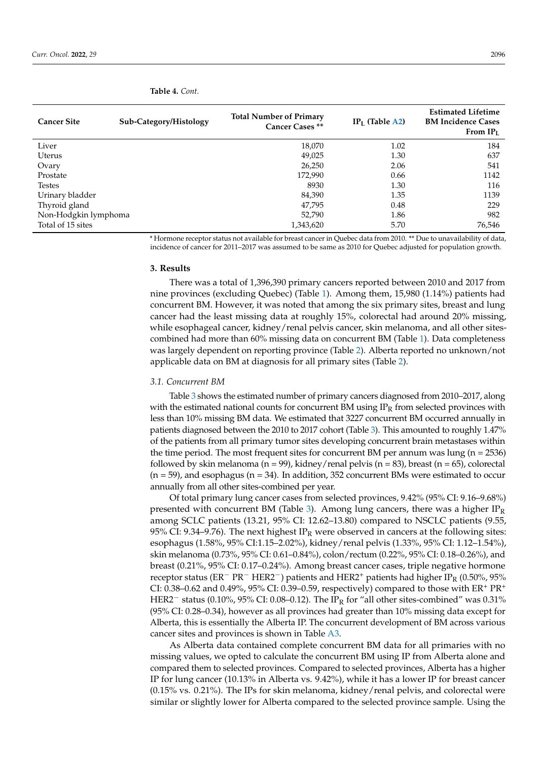| <b>Cancer Site</b>   | Sub-Category/Histology | <b>Total Number of Primary</b><br>Cancer Cases ** | $IPL$ (Table A2) | <b>Estimated Lifetime</b><br><b>BM Incidence Cases</b><br>From $IP_L$ |
|----------------------|------------------------|---------------------------------------------------|------------------|-----------------------------------------------------------------------|
| Liver                |                        | 18,070                                            | 1.02             | 184                                                                   |
| Uterus               |                        | 49,025                                            | 1.30             | 637                                                                   |
| Ovary                |                        | 26,250                                            | 2.06             | 541                                                                   |
| Prostate             |                        | 172,990                                           | 0.66             | 1142                                                                  |
| <b>Testes</b>        |                        | 8930                                              | 1.30             | 116                                                                   |
| Urinary bladder      |                        | 84,390                                            | 1.35             | 1139                                                                  |
| Thyroid gland        |                        | 47,795                                            | 0.48             | 229                                                                   |
| Non-Hodgkin lymphoma |                        | 52,790                                            | 1.86             | 982                                                                   |
| Total of 15 sites    |                        | 1,343,620                                         | 5.70             | 76.546                                                                |

**Table 4.** *Cont.*

\* Hormone receptor status not available for breast cancer in Quebec data from 2010. \*\* Due to unavailability of data, incidence of cancer for 2011–2017 was assumed to be same as 2010 for Quebec adjusted for population growth.

#### **3. Results**

There was a total of 1,396,390 primary cancers reported between 2010 and 2017 from nine provinces (excluding Quebec) (Table [1\)](#page-2-0). Among them, 15,980 (1.14%) patients had concurrent BM. However, it was noted that among the six primary sites, breast and lung cancer had the least missing data at roughly 15%, colorectal had around 20% missing, while esophageal cancer, kidney/renal pelvis cancer, skin melanoma, and all other sitescombined had more than 60% missing data on concurrent BM (Table [1\)](#page-2-0). Data completeness was largely dependent on reporting province (Table [2\)](#page-2-1). Alberta reported no unknown/not applicable data on BM at diagnosis for all primary sites (Table [2\)](#page-2-1).

#### *3.1. Concurrent BM*

Table [3](#page-3-0) shows the estimated number of primary cancers diagnosed from 2010–2017, along with the estimated national counts for concurrent BM using  $IP<sub>R</sub>$  from selected provinces with less than 10% missing BM data. We estimated that 3227 concurrent BM occurred annually in patients diagnosed between the 2010 to 2017 cohort (Table [3\)](#page-3-0). This amounted to roughly 1.47% of the patients from all primary tumor sites developing concurrent brain metastases within the time period. The most frequent sites for concurrent BM per annum was lung ( $n = 2536$ ) followed by skin melanoma (n = 99), kidney/renal pelvis (n = 83), breast (n = 65), colorectal (n = 59), and esophagus (n = 34). In addition, 352 concurrent BMs were estimated to occur annually from all other sites-combined per year.

Of total primary lung cancer cases from selected provinces, 9.42% (95% CI: 9.16–9.68%) presented with concurrent BM (Table [3\)](#page-3-0). Among lung cancers, there was a higher  $IP_R$ among SCLC patients (13.21, 95% CI: 12.62–13.80) compared to NSCLC patients (9.55, 95% CI: 9.34–9.76). The next highest  $IP_R$  were observed in cancers at the following sites: esophagus (1.58%, 95% CI:1.15–2.02%), kidney/renal pelvis (1.33%, 95% CI: 1.12–1.54%), skin melanoma (0.73%, 95% CI: 0.61–0.84%), colon/rectum (0.22%, 95% CI: 0.18–0.26%), and breast (0.21%, 95% CI: 0.17–0.24%). Among breast cancer cases, triple negative hormone receptor status (ER<sup>−</sup> PR<sup>−</sup> HER2<sup>−</sup>) patients and HER2<sup>+</sup> patients had higher IP<sub>R</sub> (0.50%, 95% CI: 0.38–0.62 and 0.49%, 95% CI: 0.39–0.59, respectively) compared to those with  $ER^+ PR^+$ HER2<sup>−</sup> status (0.10%, 95% CI: 0.08–0.12). The IP<sub>R</sub> for "all other sites-combined" was 0.31% (95% CI: 0.28–0.34), however as all provinces had greater than 10% missing data except for Alberta, this is essentially the Alberta IP. The concurrent development of BM across various cancer sites and provinces is shown in Table [A3.](#page-10-0)

As Alberta data contained complete concurrent BM data for all primaries with no missing values, we opted to calculate the concurrent BM using IP from Alberta alone and compared them to selected provinces. Compared to selected provinces, Alberta has a higher IP for lung cancer (10.13% in Alberta vs. 9.42%), while it has a lower IP for breast cancer (0.15% vs. 0.21%). The IPs for skin melanoma, kidney/renal pelvis, and colorectal were similar or slightly lower for Alberta compared to the selected province sample. Using the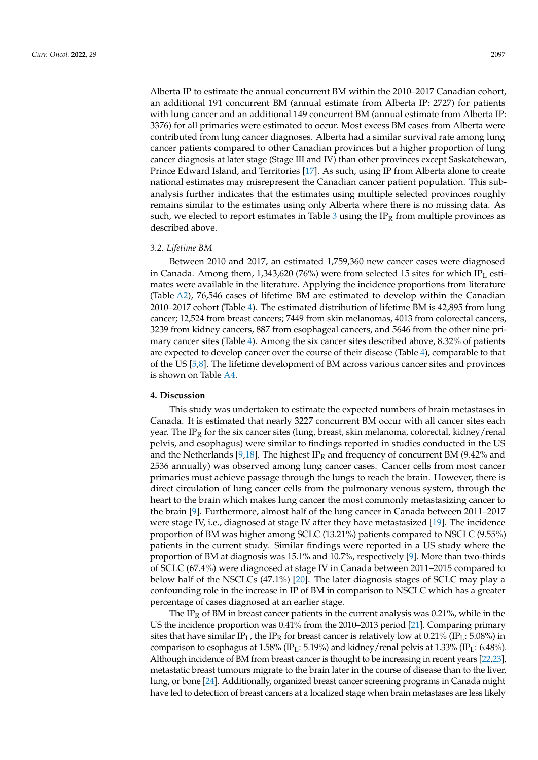Alberta IP to estimate the annual concurrent BM within the 2010–2017 Canadian cohort, an additional 191 concurrent BM (annual estimate from Alberta IP: 2727) for patients with lung cancer and an additional 149 concurrent BM (annual estimate from Alberta IP: 3376) for all primaries were estimated to occur. Most excess BM cases from Alberta were contributed from lung cancer diagnoses. Alberta had a similar survival rate among lung cancer patients compared to other Canadian provinces but a higher proportion of lung cancer diagnosis at later stage (Stage III and IV) than other provinces except Saskatchewan, Prince Edward Island, and Territories [\[17\]](#page-13-7). As such, using IP from Alberta alone to create national estimates may misrepresent the Canadian cancer patient population. This subanalysis further indicates that the estimates using multiple selected provinces roughly remains similar to the estimates using only Alberta where there is no missing data. As such, we elected to report estimates in Table [3](#page-3-0) using the  $IP_R$  from multiple provinces as described above.

# *3.2. Lifetime BM*

Between 2010 and 2017, an estimated 1,759,360 new cancer cases were diagnosed in Canada. Among them, 1,343,620 (76%) were from selected 15 sites for which IP<sub>L</sub> estimates were available in the literature. Applying the incidence proportions from literature (Table [A2\)](#page-10-1), 76,546 cases of lifetime BM are estimated to develop within the Canadian 2010–2017 cohort (Table [4\)](#page-4-0). The estimated distribution of lifetime BM is 42,895 from lung cancer; 12,524 from breast cancers; 7449 from skin melanomas, 4013 from colorectal cancers, 3239 from kidney cancers, 887 from esophageal cancers, and 5646 from the other nine primary cancer sites (Table [4\)](#page-4-0). Among the six cancer sites described above, 8.32% of patients are expected to develop cancer over the course of their disease (Table [4\)](#page-4-0), comparable to that of the US [\[5,](#page-12-4)[8\]](#page-12-7). The lifetime development of BM across various cancer sites and provinces is shown on Table [A4.](#page-11-0)

# **4. Discussion**

This study was undertaken to estimate the expected numbers of brain metastases in Canada. It is estimated that nearly 3227 concurrent BM occur with all cancer sites each year. The IP<sub>R</sub> for the six cancer sites (lung, breast, skin melanoma, colorectal, kidney/renal pelvis, and esophagus) were similar to findings reported in studies conducted in the US and the Netherlands [\[9,](#page-12-8)[18\]](#page-13-8). The highest IP<sub>R</sub> and frequency of concurrent BM (9.42% and 2536 annually) was observed among lung cancer cases. Cancer cells from most cancer primaries must achieve passage through the lungs to reach the brain. However, there is direct circulation of lung cancer cells from the pulmonary venous system, through the heart to the brain which makes lung cancer the most commonly metastasizing cancer to the brain [\[9\]](#page-12-8). Furthermore, almost half of the lung cancer in Canada between 2011–2017 were stage IV, i.e., diagnosed at stage IV after they have metastasized [\[19\]](#page-13-9). The incidence proportion of BM was higher among SCLC (13.21%) patients compared to NSCLC (9.55%) patients in the current study. Similar findings were reported in a US study where the proportion of BM at diagnosis was 15.1% and 10.7%, respectively [\[9\]](#page-12-8). More than two-thirds of SCLC (67.4%) were diagnosed at stage IV in Canada between 2011–2015 compared to below half of the NSCLCs (47.1%) [\[20\]](#page-13-10). The later diagnosis stages of SCLC may play a confounding role in the increase in IP of BM in comparison to NSCLC which has a greater percentage of cases diagnosed at an earlier stage.

The IP<sub>R</sub> of BM in breast cancer patients in the current analysis was 0.21%, while in the US the incidence proportion was 0.41% from the 2010–2013 period [\[21\]](#page-13-11). Comparing primary sites that have similar  $IP_L$ , the  $IP_R$  for breast cancer is relatively low at 0.21% (IP<sub>L</sub>: 5.08%) in comparison to esophagus at 1.58% (IP<sub>L</sub>: 5.19%) and kidney/renal pelvis at 1.33% (IP<sub>L</sub>: 6.48%). Although incidence of BM from breast cancer is thought to be increasing in recent years [\[22](#page-13-12)[,23\]](#page-13-13), metastatic breast tumours migrate to the brain later in the course of disease than to the liver, lung, or bone [\[24\]](#page-13-14). Additionally, organized breast cancer screening programs in Canada might have led to detection of breast cancers at a localized stage when brain metastases are less likely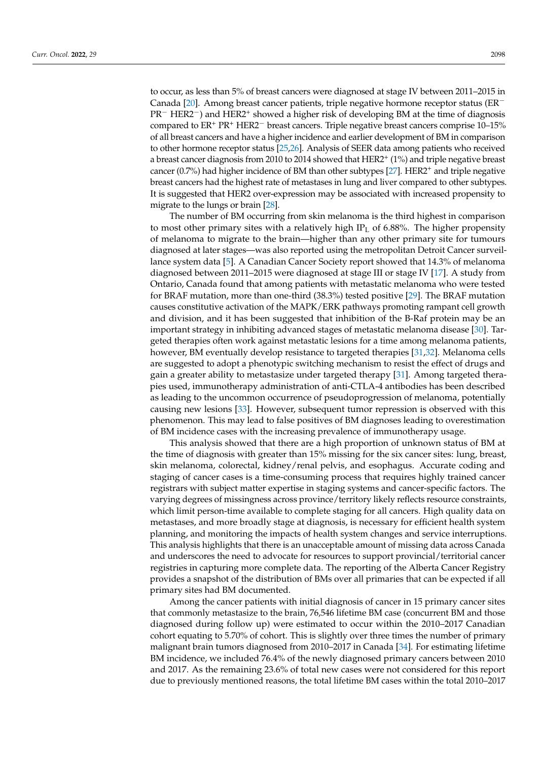to occur, as less than 5% of breast cancers were diagnosed at stage IV between 2011–2015 in Canada [\[20\]](#page-13-10). Among breast cancer patients, triple negative hormone receptor status ( $ER^{-}$ PR<sup>-</sup> HER2<sup>-</sup>) and HER2<sup>+</sup> showed a higher risk of developing BM at the time of diagnosis compared to ER<sup>+</sup> PR<sup>+</sup> HER2<sup>−</sup> breast cancers. Triple negative breast cancers comprise 10–15% of all breast cancers and have a higher incidence and earlier development of BM in comparison to other hormone receptor status [\[25](#page-13-15)[,26\]](#page-13-16). Analysis of SEER data among patients who received a breast cancer diagnosis from 2010 to 2014 showed that HER2<sup>+</sup> (1%) and triple negative breast cancer (0.7%) had higher incidence of BM than other subtypes  $[27]$ . HER2<sup>+</sup> and triple negative breast cancers had the highest rate of metastases in lung and liver compared to other subtypes. It is suggested that HER2 over-expression may be associated with increased propensity to migrate to the lungs or brain [\[28\]](#page-13-18).

The number of BM occurring from skin melanoma is the third highest in comparison to most other primary sites with a relatively high IP<sub>L</sub> of 6.88%. The higher propensity of melanoma to migrate to the brain—higher than any other primary site for tumours diagnosed at later stages—was also reported using the metropolitan Detroit Cancer surveillance system data [\[5\]](#page-12-4). A Canadian Cancer Society report showed that 14.3% of melanoma diagnosed between 2011–2015 were diagnosed at stage III or stage IV [\[17\]](#page-13-7). A study from Ontario, Canada found that among patients with metastatic melanoma who were tested for BRAF mutation, more than one-third (38.3%) tested positive [\[29\]](#page-13-19). The BRAF mutation causes constitutive activation of the MAPK/ERK pathways promoting rampant cell growth and division, and it has been suggested that inhibition of the B-Raf protein may be an important strategy in inhibiting advanced stages of metastatic melanoma disease [\[30\]](#page-13-20). Targeted therapies often work against metastatic lesions for a time among melanoma patients, however, BM eventually develop resistance to targeted therapies [\[31,](#page-13-21)[32\]](#page-13-22). Melanoma cells are suggested to adopt a phenotypic switching mechanism to resist the effect of drugs and gain a greater ability to metastasize under targeted therapy [\[31\]](#page-13-21). Among targeted therapies used, immunotherapy administration of anti-CTLA-4 antibodies has been described as leading to the uncommon occurrence of pseudoprogression of melanoma, potentially causing new lesions [\[33\]](#page-13-23). However, subsequent tumor repression is observed with this phenomenon. This may lead to false positives of BM diagnoses leading to overestimation of BM incidence cases with the increasing prevalence of immunotherapy usage.

This analysis showed that there are a high proportion of unknown status of BM at the time of diagnosis with greater than 15% missing for the six cancer sites: lung, breast, skin melanoma, colorectal, kidney/renal pelvis, and esophagus. Accurate coding and staging of cancer cases is a time-consuming process that requires highly trained cancer registrars with subject matter expertise in staging systems and cancer-specific factors. The varying degrees of missingness across province/territory likely reflects resource constraints, which limit person-time available to complete staging for all cancers. High quality data on metastases, and more broadly stage at diagnosis, is necessary for efficient health system planning, and monitoring the impacts of health system changes and service interruptions. This analysis highlights that there is an unacceptable amount of missing data across Canada and underscores the need to advocate for resources to support provincial/territorial cancer registries in capturing more complete data. The reporting of the Alberta Cancer Registry provides a snapshot of the distribution of BMs over all primaries that can be expected if all primary sites had BM documented.

Among the cancer patients with initial diagnosis of cancer in 15 primary cancer sites that commonly metastasize to the brain, 76,546 lifetime BM case (concurrent BM and those diagnosed during follow up) were estimated to occur within the 2010–2017 Canadian cohort equating to 5.70% of cohort. This is slightly over three times the number of primary malignant brain tumors diagnosed from 2010–2017 in Canada [\[34\]](#page-14-0). For estimating lifetime BM incidence, we included 76.4% of the newly diagnosed primary cancers between 2010 and 2017. As the remaining 23.6% of total new cases were not considered for this report due to previously mentioned reasons, the total lifetime BM cases within the total 2010–2017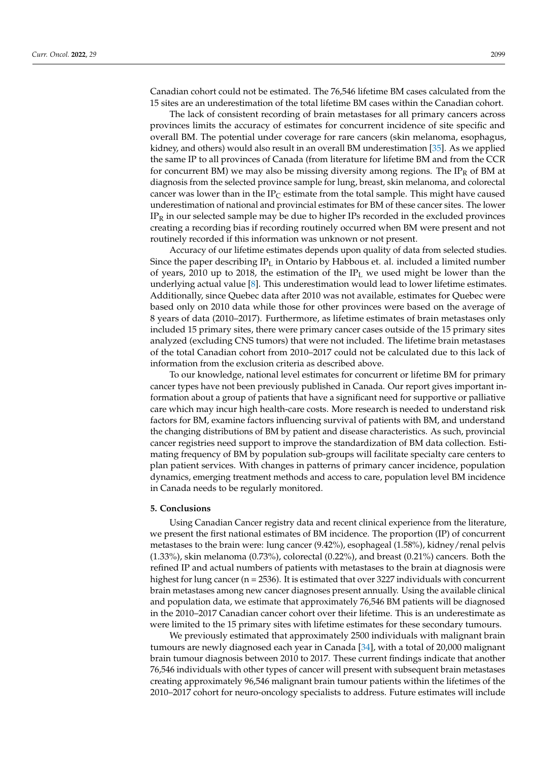Canadian cohort could not be estimated. The 76,546 lifetime BM cases calculated from the 15 sites are an underestimation of the total lifetime BM cases within the Canadian cohort.

The lack of consistent recording of brain metastases for all primary cancers across provinces limits the accuracy of estimates for concurrent incidence of site specific and overall BM. The potential under coverage for rare cancers (skin melanoma, esophagus, kidney, and others) would also result in an overall BM underestimation [\[35\]](#page-14-1). As we applied the same IP to all provinces of Canada (from literature for lifetime BM and from the CCR for concurrent BM) we may also be missing diversity among regions. The  $IP_R$  of BM at diagnosis from the selected province sample for lung, breast, skin melanoma, and colorectal cancer was lower than in the IP<sub>C</sub> estimate from the total sample. This might have caused underestimation of national and provincial estimates for BM of these cancer sites. The lower  $IP<sub>R</sub>$  in our selected sample may be due to higher IPs recorded in the excluded provinces creating a recording bias if recording routinely occurred when BM were present and not routinely recorded if this information was unknown or not present.

Accuracy of our lifetime estimates depends upon quality of data from selected studies. Since the paper describing  $IP<sub>L</sub>$  in Ontario by Habbous et. al. included a limited number of years, 2010 up to 2018, the estimation of the  $IP<sub>L</sub>$  we used might be lower than the underlying actual value [\[8\]](#page-12-7). This underestimation would lead to lower lifetime estimates. Additionally, since Quebec data after 2010 was not available, estimates for Quebec were based only on 2010 data while those for other provinces were based on the average of 8 years of data (2010–2017). Furthermore, as lifetime estimates of brain metastases only included 15 primary sites, there were primary cancer cases outside of the 15 primary sites analyzed (excluding CNS tumors) that were not included. The lifetime brain metastases of the total Canadian cohort from 2010–2017 could not be calculated due to this lack of information from the exclusion criteria as described above.

To our knowledge, national level estimates for concurrent or lifetime BM for primary cancer types have not been previously published in Canada. Our report gives important information about a group of patients that have a significant need for supportive or palliative care which may incur high health-care costs. More research is needed to understand risk factors for BM, examine factors influencing survival of patients with BM, and understand the changing distributions of BM by patient and disease characteristics. As such, provincial cancer registries need support to improve the standardization of BM data collection. Estimating frequency of BM by population sub-groups will facilitate specialty care centers to plan patient services. With changes in patterns of primary cancer incidence, population dynamics, emerging treatment methods and access to care, population level BM incidence in Canada needs to be regularly monitored.

# **5. Conclusions**

Using Canadian Cancer registry data and recent clinical experience from the literature, we present the first national estimates of BM incidence. The proportion (IP) of concurrent metastases to the brain were: lung cancer (9.42%), esophageal (1.58%), kidney/renal pelvis  $(1.33\%)$ , skin melanoma  $(0.73\%)$ , colorectal  $(0.22\%)$ , and breast  $(0.21\%)$  cancers. Both the refined IP and actual numbers of patients with metastases to the brain at diagnosis were highest for lung cancer (n = 2536). It is estimated that over 3227 individuals with concurrent brain metastases among new cancer diagnoses present annually. Using the available clinical and population data, we estimate that approximately 76,546 BM patients will be diagnosed in the 2010–2017 Canadian cancer cohort over their lifetime. This is an underestimate as were limited to the 15 primary sites with lifetime estimates for these secondary tumours.

We previously estimated that approximately 2500 individuals with malignant brain tumours are newly diagnosed each year in Canada [\[34\]](#page-14-0), with a total of 20,000 malignant brain tumour diagnosis between 2010 to 2017. These current findings indicate that another 76,546 individuals with other types of cancer will present with subsequent brain metastases creating approximately 96,546 malignant brain tumour patients within the lifetimes of the 2010–2017 cohort for neuro-oncology specialists to address. Future estimates will include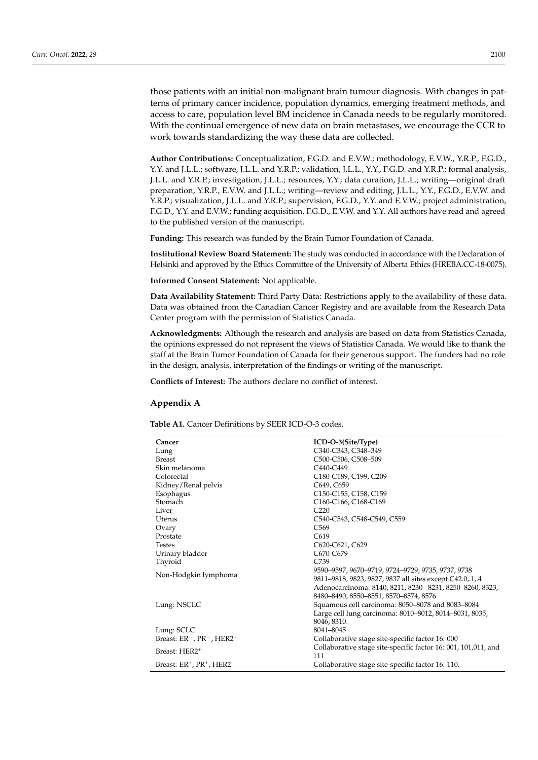those patients with an initial non-malignant brain tumour diagnosis. With changes in patterns of primary cancer incidence, population dynamics, emerging treatment methods, and access to care, population level BM incidence in Canada needs to be regularly monitored. With the continual emergence of new data on brain metastases, we encourage the CCR to work towards standardizing the way these data are collected.

**Author Contributions:** Conceptualization, F.G.D. and E.V.W.; methodology, E.V.W., Y.R.P., F.G.D., Y.Y. and J.L.L.; software, J.L.L. and Y.R.P.; validation, J.L.L., Y.Y., F.G.D. and Y.R.P.; formal analysis, J.L.L. and Y.R.P.; investigation, J.L.L.; resources, Y.Y.; data curation, J.L.L.; writing—original draft preparation, Y.R.P., E.V.W. and J.L.L.; writing—review and editing, J.L.L., Y.Y., F.G.D., E.V.W. and Y.R.P.; visualization, J.L.L. and Y.R.P.; supervision, F.G.D., Y.Y. and E.V.W.; project administration, F.G.D., Y.Y. and E.V.W.; funding acquisition, F.G.D., E.V.W. and Y.Y. All authors have read and agreed to the published version of the manuscript.

**Funding:** This research was funded by the Brain Tumor Foundation of Canada.

**Institutional Review Board Statement:** The study was conducted in accordance with the Declaration of Helsinki and approved by the Ethics Committee of the University of Alberta Ethics (HREBA.CC-18-0075).

**Informed Consent Statement:** Not applicable.

**Data Availability Statement:** Third Party Data: Restrictions apply to the availability of these data. Data was obtained from the Canadian Cancer Registry and are available from the Research Data Center program with the permission of Statistics Canada.

**Acknowledgments:** Although the research and analysis are based on data from Statistics Canada, the opinions expressed do not represent the views of Statistics Canada. We would like to thank the staff at the Brain Tumor Foundation of Canada for their generous support. The funders had no role in the design, analysis, interpretation of the findings or writing of the manuscript.

**Conflicts of Interest:** The authors declare no conflict of interest.

# <span id="page-9-1"></span>**Appendix A**

<span id="page-9-0"></span>**Table A1.** Cancer Definitions by SEER ICD-O-3 codes.

| Cancer                                                        | ICD-O-3(Site/Type)                                             |
|---------------------------------------------------------------|----------------------------------------------------------------|
| Lung                                                          | C340-C343, C348-349                                            |
| <b>Breast</b>                                                 | C500-C506, C508-509                                            |
| Skin melanoma                                                 | C440-C449                                                      |
| Colorectal                                                    | C180-C189, C199, C209                                          |
| Kidney/Renal pelvis                                           | C649, C659                                                     |
| Esophagus                                                     | C150-C155, C158, C159                                          |
| Stomach                                                       | C160-C166, C168-C169                                           |
| Liver                                                         | C <sub>220</sub>                                               |
| Uterus                                                        | C540-C543, C548-C549, C559                                     |
| Ovary                                                         | C <sub>569</sub>                                               |
| Prostate                                                      | C <sub>619</sub>                                               |
| <b>Testes</b>                                                 | C620-C621, C629                                                |
| Urinary bladder                                               | C670-C679                                                      |
| Thyroid                                                       | C739                                                           |
|                                                               | 9590-9597, 9670-9719, 9724-9729, 9735, 9737, 9738              |
| Non-Hodgkin lymphoma                                          | 9811-9818, 9823, 9827, 9837 all sites except C42.0,.1,.4       |
|                                                               | Adenocarcinoma: 8140, 8211, 8230-8231, 8250-8260, 8323,        |
|                                                               | 8480-8490, 8550-8551, 8570-8574, 8576                          |
| Lung: NSCLC                                                   | Squamous cell carcinoma: 8050-8078 and 8083-8084               |
|                                                               | Large cell lung carcinoma: 8010-8012, 8014-8031, 8035,         |
|                                                               | 8046, 8310.                                                    |
| Lung: SCLC                                                    | 8041-8045                                                      |
| Breast: ER <sup>-</sup> , PR <sup>-</sup> , HER2 <sup>-</sup> | Collaborative stage site-specific factor 16: 000               |
|                                                               | Collaborative stage site-specific factor 16: 001, 101,011, and |
| Breast: HER2 <sup>+</sup>                                     | 111                                                            |
| Breast: $ER^+$ , $PR^+$ , $HER2^-$                            | Collaborative stage site-specific factor 16: 110.              |
|                                                               |                                                                |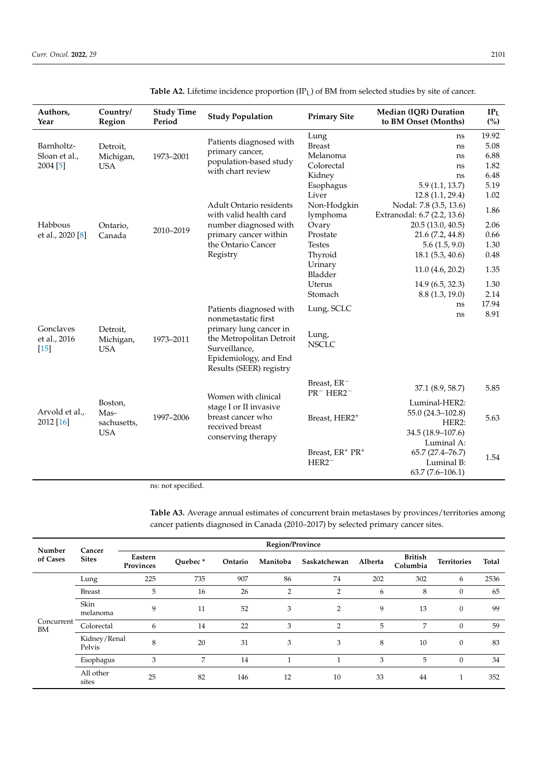| Authors,<br>Year            | Country/<br>Region                           | <b>Study Time</b><br>Period | <b>Study Population</b>                                                                       | <b>Primary Site</b>                                              | Median (IQR) Duration<br>to BM Onset (Months)                       | IP <sub>L</sub><br>(%) |
|-----------------------------|----------------------------------------------|-----------------------------|-----------------------------------------------------------------------------------------------|------------------------------------------------------------------|---------------------------------------------------------------------|------------------------|
|                             |                                              |                             |                                                                                               | Lung                                                             | ns                                                                  | 19.92                  |
| Barnholtz-                  | Detroit,                                     |                             | Patients diagnosed with                                                                       | <b>Breast</b>                                                    | ns                                                                  | 5.08                   |
| Sloan et al.,               | Michigan,                                    | 1973-2001                   | primary cancer,                                                                               | Melanoma                                                         | ns                                                                  | 6.88                   |
| 2004 [5]                    | <b>USA</b>                                   |                             | population-based study                                                                        | Colorectal                                                       | ns                                                                  | 1.82                   |
|                             |                                              |                             | with chart review                                                                             | Kidney                                                           | ns                                                                  | 6.48                   |
|                             |                                              |                             |                                                                                               | Esophagus                                                        | 5.9(1.1, 13.7)                                                      | 5.19                   |
|                             |                                              |                             |                                                                                               | Liver                                                            | 12.8(1.1, 29.4)                                                     | 1.02                   |
|                             |                                              |                             | Adult Ontario residents                                                                       | Non-Hodgkin                                                      | Nodal: 7.8 (3.5, 13.6)                                              | 1.86                   |
|                             |                                              |                             | with valid health card                                                                        | lymphoma                                                         | Extranodal: 6.7 (2.2, 13.6)                                         |                        |
| Habbous                     | Ontario,                                     |                             | number diagnosed with                                                                         | Ovary                                                            | 20.5 (13.0, 40.5)                                                   | 2.06                   |
| et al., 2020 [8]            | Canada                                       | 2010-2019                   | primary cancer within                                                                         | Prostate                                                         | 21.6 (7.2, 44.8)                                                    | 0.66                   |
|                             |                                              |                             | the Ontario Cancer                                                                            | <b>Testes</b>                                                    | 5.6(1.5, 9.0)                                                       | 1.30                   |
|                             |                                              |                             | Registry                                                                                      | Thyroid                                                          | 18.1(5.3, 40.6)                                                     | 0.48                   |
|                             |                                              |                             |                                                                                               | Urinary                                                          | 11.0 (4.6, 20.2)                                                    | 1.35                   |
|                             |                                              |                             |                                                                                               | Bladder                                                          |                                                                     |                        |
|                             |                                              |                             |                                                                                               | Uterus                                                           | 14.9(6.5, 32.3)                                                     | 1.30                   |
|                             |                                              |                             |                                                                                               | Stomach                                                          | 8.8 (1.3, 19.0)                                                     | 2.14                   |
|                             |                                              |                             |                                                                                               |                                                                  | ns                                                                  | 17.94                  |
| Gonclaves                   | Detroit,                                     |                             | Patients diagnosed with<br>nonmetastatic first<br>primary lung cancer in                      | Lung, SCLC                                                       | ns                                                                  | 8.91                   |
| et al., 2016<br>$[15]$      | Michigan,<br><b>USA</b>                      | 1973-2011                   | the Metropolitan Detroit<br>Surveillance,<br>Epidemiology, and End<br>Results (SEER) registry | Lung,<br><b>NSCLC</b>                                            |                                                                     |                        |
|                             |                                              |                             | Women with clinical                                                                           | Breast, ER <sup>-</sup><br>$PR^-$ HER2 <sup><math>-</math></sup> | 37.1 (8.9, 58.7)                                                    | 5.85                   |
| Arvold et al.,<br>2012 [16] | Boston,<br>Mas-<br>sachusetts,<br><b>USA</b> | 1997-2006                   | stage I or II invasive<br>breast cancer who<br>received breast<br>conserving therapy          | Breast, HER2 <sup>+</sup>                                        | Luminal-HER2:<br>55.0 (24.3-102.8)<br>HER2:<br>34.5 (18.9-107.6)    | 5.63                   |
|                             |                                              |                             |                                                                                               | Breast, ER+ PR+<br>$HER2^-$                                      | Luminal A:<br>65.7 (27.4-76.7)<br>Luminal B:<br>$63.7(7.6 - 106.1)$ | 1.54                   |

<span id="page-10-1"></span>**Table A2.** Lifetime incidence proportion (IPL) of BM from selected studies by site of cancer.

ns: not specified.

<span id="page-10-0"></span>

| <b>Table A3.</b> Average annual estimates of concurrent brain metastases by provinces/territories among |  |  |
|---------------------------------------------------------------------------------------------------------|--|--|
| cancer patients diagnosed in Canada (2010–2017) by selected primary cancer sites.                       |  |  |

| Number           | Cancer                 | Region/Province      |         |         |          |                |         |                            |                    |       |  |
|------------------|------------------------|----------------------|---------|---------|----------|----------------|---------|----------------------------|--------------------|-------|--|
| of Cases         | <b>Sites</b>           | Eastern<br>Provinces | Ouebec* | Ontario | Manitoba | Saskatchewan   | Alberta | <b>British</b><br>Columbia | <b>Territories</b> | Total |  |
|                  | Lung                   | 225                  | 735     | 907     | 86       | 74             | 202     | 302                        | 6                  | 2536  |  |
|                  | <b>Breast</b>          | 5                    | 16      | 26      | 2        | 2              | 6       | 8                          | $\mathbf{0}$       | 65    |  |
|                  | Skin<br>melanoma       | 9                    | 11      | 52      | 3        | 2              | 9       | 13                         | $\theta$           | 99    |  |
| Concurrent<br>BM | Colorectal             | 6                    | 14      | 22      | 3        | $\overline{2}$ | 5       | 7                          | $\mathbf{0}$       | 59    |  |
|                  | Kidney/Renal<br>Pelvis | 8                    | 20      | 31      | 3        | 3              | 8       | 10                         | $\boldsymbol{0}$   | 83    |  |
|                  | Esophagus              | 3                    | 7       | 14      |          |                | 3       | 5                          | $\boldsymbol{0}$   | 34    |  |
|                  | All other<br>sites     | 25                   | 82      | 146     | 12       | 10             | 33      | 44                         |                    | 352   |  |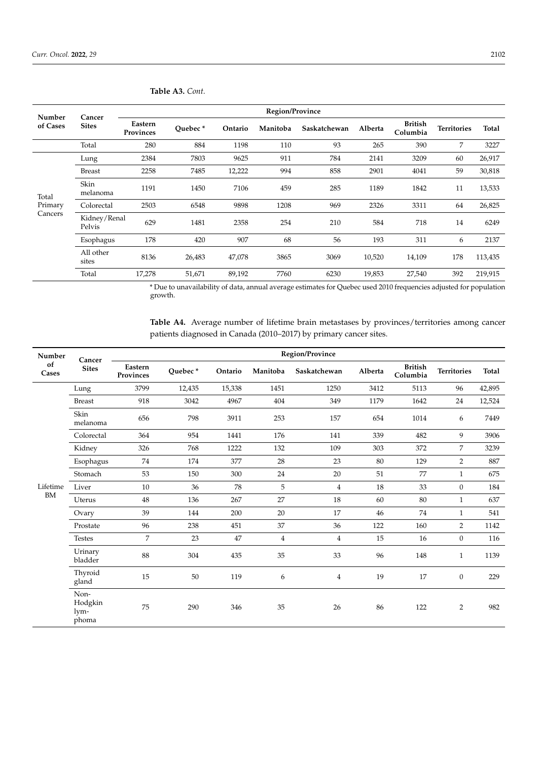|                    | Region/Province |                           |         |          |              |         |                            |                    |              |  |
|--------------------|-----------------|---------------------------|---------|----------|--------------|---------|----------------------------|--------------------|--------------|--|
| <b>Sites</b>       | Eastern         | Ouebec*                   | Ontario | Manitoba | Saskatchewan | Alberta | <b>British</b><br>Columbia | <b>Territories</b> | <b>Total</b> |  |
| Total              | 280             | 884                       | 1198    | 110      | 93           | 265     | 390                        | 7                  | 3227         |  |
| Lung               | 2384            | 7803                      | 9625    | 911      | 784          | 2141    | 3209                       | 60                 | 26,917       |  |
| <b>Breast</b>      | 2258            | 7485                      | 12,222  | 994      | 858          | 2901    | 4041                       | 59                 | 30,818       |  |
| Skin<br>melanoma   | 1191            | 1450                      | 7106    | 459      | 285          | 1189    | 1842                       | 11                 | 13,533       |  |
| Colorectal         | 2503            | 6548                      | 9898    | 1208     | 969          | 2326    | 3311                       | 64                 | 26,825       |  |
| Pelvis             | 629             | 1481                      | 2358    | 254      | 210          | 584     | 718                        | 14                 | 6249         |  |
| Esophagus          | 178             | 420                       | 907     | 68       | 56           | 193     | 311                        | 6                  | 2137         |  |
| All other<br>sites | 8136            | 26,483                    | 47,078  | 3865     | 3069         | 10,520  | 14,109                     | 178                | 113,435      |  |
| Total              | 17,278          | 51,671                    | 89,192  | 7760     | 6230         | 19,853  | 27,540                     | 392                | 219,915      |  |
|                    | Cancer          | Provinces<br>Kidney/Renal |         |          |              |         |                            |                    |              |  |

**Table A3.** *Cont.*

\* Due to unavailability of data, annual average estimates for Quebec used 2010 frequencies adjusted for population growth.

<span id="page-11-0"></span>**Table A4.** Average number of lifetime brain metastases by provinces/territories among cancer patients diagnosed in Canada (2010–2017) by primary cancer sites.

| Number      |                                  |                      |         |         |                | Region/Province |         |                            |                    |        |
|-------------|----------------------------------|----------------------|---------|---------|----------------|-----------------|---------|----------------------------|--------------------|--------|
| of<br>Cases | Cancer<br><b>Sites</b>           | Eastern<br>Provinces | Quebec* | Ontario | Manitoba       | Saskatchewan    | Alberta | <b>British</b><br>Columbia | <b>Territories</b> | Total  |
|             | Lung                             | 3799                 | 12,435  | 15,338  | 1451           | 1250            | 3412    | 5113                       | 96                 | 42,895 |
|             | <b>Breast</b>                    | 918                  | 3042    | 4967    | 404            | 349             | 1179    | 1642                       | 24                 | 12,524 |
|             | Skin<br>melanoma                 | 656                  | 798     | 3911    | 253            | 157             | 654     | 1014                       | 6                  | 7449   |
|             | Colorectal                       | 364                  | 954     | 1441    | 176            | 141             | 339     | 482                        | 9                  | 3906   |
|             | Kidney                           | 326                  | 768     | 1222    | 132            | 109             | 303     | 372                        | $\overline{7}$     | 3239   |
|             | Esophagus                        | 74                   | 174     | 377     | 28             | 23              | 80      | 129                        | $\overline{2}$     | 887    |
|             | Stomach                          | 53                   | 150     | 300     | 24             | 20              | 51      | 77                         | $\mathbf{1}$       | 675    |
| Lifetime    | Liver                            | 10                   | 36      | 78      | 5              | $\overline{4}$  | 18      | 33                         | $\mathbf{0}$       | 184    |
| <b>BM</b>   | Uterus                           | 48                   | 136     | 267     | 27             | 18              | 60      | 80                         | $\mathbf{1}$       | 637    |
|             | Ovary                            | 39                   | 144     | 200     | 20             | 17              | 46      | 74                         | $\mathbf{1}$       | 541    |
|             | Prostate                         | 96                   | 238     | 451     | 37             | 36              | 122     | 160                        | $\overline{2}$     | 1142   |
|             | <b>Testes</b>                    | $\overline{7}$       | 23      | 47      | $\overline{4}$ | $\overline{4}$  | 15      | 16                         | $\mathbf{0}$       | 116    |
|             | Urinary<br>bladder               | 88                   | 304     | 435     | 35             | 33              | 96      | 148                        | $\mathbf{1}$       | 1139   |
|             | Thyroid<br>gland                 | 15                   | 50      | 119     | 6              | $\overline{4}$  | 19      | 17                         | $\mathbf{0}$       | 229    |
|             | Non-<br>Hodgkin<br>lym-<br>phoma | 75                   | 290     | 346     | 35             | 26              | 86      | 122                        | $\overline{2}$     | 982    |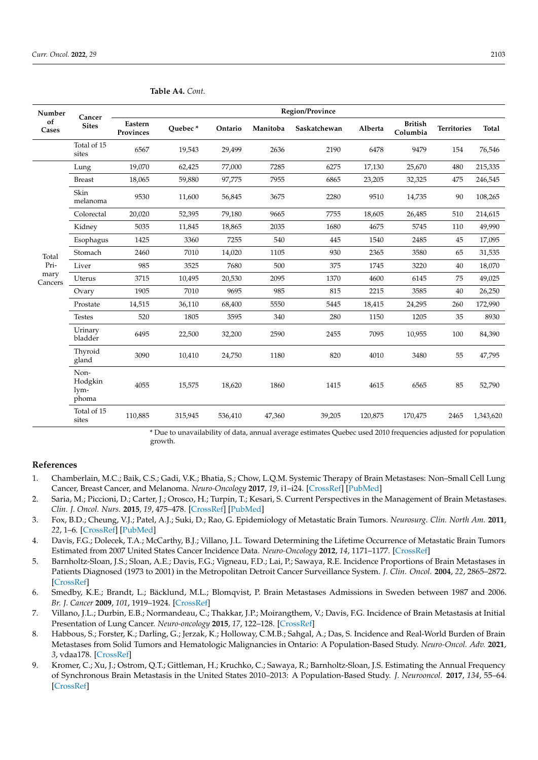| Number<br>of<br>Cases            | Cancer<br><b>Sites</b>           | Region/Province      |         |         |          |              |         |                            |                    |           |
|----------------------------------|----------------------------------|----------------------|---------|---------|----------|--------------|---------|----------------------------|--------------------|-----------|
|                                  |                                  | Eastern<br>Provinces | Ouebec* | Ontario | Manitoba | Saskatchewan | Alberta | <b>British</b><br>Columbia | <b>Territories</b> | Total     |
|                                  | Total of 15<br>sites             | 6567                 | 19,543  | 29,499  | 2636     | 2190         | 6478    | 9479                       | 154                | 76,546    |
| Total<br>Pri-<br>mary<br>Cancers | Lung                             | 19,070               | 62,425  | 77,000  | 7285     | 6275         | 17,130  | 25,670                     | 480                | 215,335   |
|                                  | <b>Breast</b>                    | 18,065               | 59,880  | 97,775  | 7955     | 6865         | 23,205  | 32,325                     | 475                | 246,545   |
|                                  | Skin<br>melanoma                 | 9530                 | 11,600  | 56,845  | 3675     | 2280         | 9510    | 14,735                     | 90                 | 108,265   |
|                                  | Colorectal                       | 20,020               | 52,395  | 79,180  | 9665     | 7755         | 18,605  | 26,485                     | 510                | 214,615   |
|                                  | Kidney                           | 5035                 | 11,845  | 18,865  | 2035     | 1680         | 4675    | 5745                       | 110                | 49,990    |
|                                  | Esophagus                        | 1425                 | 3360    | 7255    | 540      | 445          | 1540    | 2485                       | 45                 | 17,095    |
|                                  | Stomach                          | 2460                 | 7010    | 14,020  | 1105     | 930          | 2365    | 3580                       | 65                 | 31,535    |
|                                  | Liver                            | 985                  | 3525    | 7680    | 500      | 375          | 1745    | 3220                       | 40                 | 18,070    |
|                                  | Uterus                           | 3715                 | 10,495  | 20,530  | 2095     | 1370         | 4600    | 6145                       | 75                 | 49,025    |
|                                  | Ovary                            | 1905                 | 7010    | 9695    | 985      | 815          | 2215    | 3585                       | 40                 | 26,250    |
|                                  | Prostate                         | 14,515               | 36,110  | 68,400  | 5550     | 5445         | 18,415  | 24,295                     | 260                | 172,990   |
|                                  | <b>Testes</b>                    | 520                  | 1805    | 3595    | 340      | 280          | 1150    | 1205                       | 35                 | 8930      |
|                                  | Urinary<br>bladder               | 6495                 | 22,500  | 32,200  | 2590     | 2455         | 7095    | 10,955                     | 100                | 84,390    |
|                                  | Thyroid<br>gland                 | 3090                 | 10,410  | 24,750  | 1180     | 820          | 4010    | 3480                       | 55                 | 47,795    |
|                                  | Non-<br>Hodgkin<br>lym-<br>phoma | 4055                 | 15,575  | 18,620  | 1860     | 1415         | 4615    | 6565                       | 85                 | 52,790    |
|                                  | Total of 15<br>sites             | 110,885              | 315,945 | 536,410 | 47,360   | 39,205       | 120,875 | 170,475                    | 2465               | 1,343,620 |

**Table A4.** *Cont.*

\* Due to unavailability of data, annual average estimates Quebec used 2010 frequencies adjusted for population growth.

#### **References**

- <span id="page-12-0"></span>1. Chamberlain, M.C.; Baik, C.S.; Gadi, V.K.; Bhatia, S.; Chow, L.Q.M. Systemic Therapy of Brain Metastases: Non–Small Cell Lung Cancer, Breast Cancer, and Melanoma. *Neuro-Oncology* **2017**, *19*, i1–i24. [\[CrossRef\]](http://doi.org/10.1093/neuonc/now197) [\[PubMed\]](http://www.ncbi.nlm.nih.gov/pubmed/28031389)
- <span id="page-12-1"></span>2. Saria, M.; Piccioni, D.; Carter, J.; Orosco, H.; Turpin, T.; Kesari, S. Current Perspectives in the Management of Brain Metastases. *Clin. J. Oncol. Nurs.* **2015**, *19*, 475–478. [\[CrossRef\]](http://doi.org/10.1188/15.CJON.475-478) [\[PubMed\]](http://www.ncbi.nlm.nih.gov/pubmed/26207714)
- <span id="page-12-2"></span>3. Fox, B.D.; Cheung, V.J.; Patel, A.J.; Suki, D.; Rao, G. Epidemiology of Metastatic Brain Tumors. *Neurosurg. Clin. North Am.* **2011**, *22*, 1–6. [\[CrossRef\]](http://doi.org/10.1016/j.nec.2010.08.007) [\[PubMed\]](http://www.ncbi.nlm.nih.gov/pubmed/21109143)
- <span id="page-12-3"></span>4. Davis, F.G.; Dolecek, T.A.; McCarthy, B.J.; Villano, J.L. Toward Determining the Lifetime Occurrence of Metastatic Brain Tumors Estimated from 2007 United States Cancer Incidence Data. *Neuro-Oncology* **2012**, *14*, 1171–1177. [\[CrossRef\]](http://doi.org/10.1093/neuonc/nos152)
- <span id="page-12-4"></span>5. Barnholtz-Sloan, J.S.; Sloan, A.E.; Davis, F.G.; Vigneau, F.D.; Lai, P.; Sawaya, R.E. Incidence Proportions of Brain Metastases in Patients Diagnosed (1973 to 2001) in the Metropolitan Detroit Cancer Surveillance System. *J. Clin. Oncol.* **2004**, *22*, 2865–2872. [\[CrossRef\]](http://doi.org/10.1200/JCO.2004.12.149)
- <span id="page-12-5"></span>6. Smedby, K.E.; Brandt, L.; Bäcklund, M.L.; Blomqvist, P. Brain Metastases Admissions in Sweden between 1987 and 2006. *Br. J. Cancer* **2009**, *101*, 1919–1924. [\[CrossRef\]](http://doi.org/10.1038/sj.bjc.6605373)
- <span id="page-12-6"></span>7. Villano, J.L.; Durbin, E.B.; Normandeau, C.; Thakkar, J.P.; Moirangthem, V.; Davis, F.G. Incidence of Brain Metastasis at Initial Presentation of Lung Cancer. *Neuro-oncology* **2015**, *17*, 122–128. [\[CrossRef\]](http://doi.org/10.1093/neuonc/nou099)
- <span id="page-12-7"></span>8. Habbous, S.; Forster, K.; Darling, G.; Jerzak, K.; Holloway, C.M.B.; Sahgal, A.; Das, S. Incidence and Real-World Burden of Brain Metastases from Solid Tumors and Hematologic Malignancies in Ontario: A Population-Based Study. *Neuro-Oncol. Adv.* **2021**, *3*, vdaa178. [\[CrossRef\]](http://doi.org/10.1093/noajnl/vdaa178)
- <span id="page-12-8"></span>9. Kromer, C.; Xu, J.; Ostrom, Q.T.; Gittleman, H.; Kruchko, C.; Sawaya, R.; Barnholtz-Sloan, J.S. Estimating the Annual Frequency of Synchronous Brain Metastasis in the United States 2010–2013: A Population-Based Study. *J. Neurooncol.* **2017**, *134*, 55–64. [\[CrossRef\]](http://doi.org/10.1007/s11060-017-2516-7)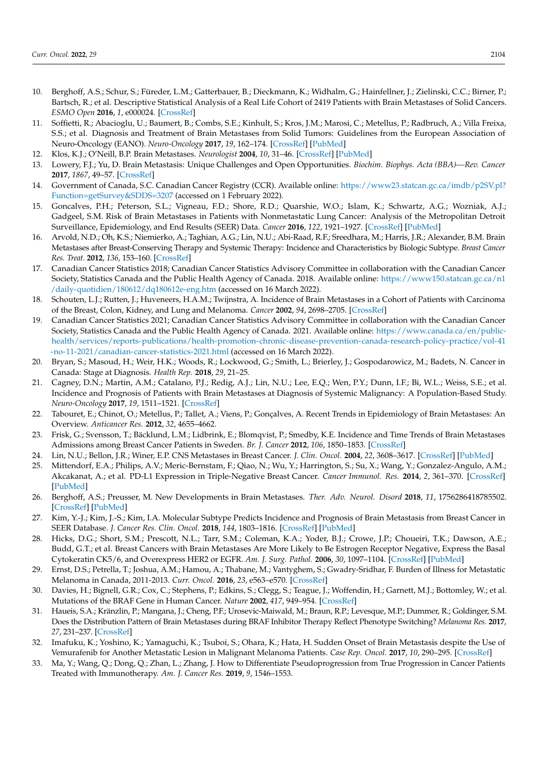- <span id="page-13-0"></span>10. Berghoff, A.S.; Schur, S.; Füreder, L.M.; Gatterbauer, B.; Dieckmann, K.; Widhalm, G.; Hainfellner, J.; Zielinski, C.C.; Birner, P.; Bartsch, R.; et al. Descriptive Statistical Analysis of a Real Life Cohort of 2419 Patients with Brain Metastases of Solid Cancers. *ESMO Open* **2016**, *1*, e000024. [\[CrossRef\]](http://doi.org/10.1136/esmoopen-2015-000024)
- <span id="page-13-1"></span>11. Soffietti, R.; Abacioglu, U.; Baumert, B.; Combs, S.E.; Kinhult, S.; Kros, J.M.; Marosi, C.; Metellus, P.; Radbruch, A.; Villa Freixa, S.S.; et al. Diagnosis and Treatment of Brain Metastases from Solid Tumors: Guidelines from the European Association of Neuro-Oncology (EANO). *Neuro-Oncology* **2017**, *19*, 162–174. [\[CrossRef\]](http://doi.org/10.1093/neuonc/now241) [\[PubMed\]](http://www.ncbi.nlm.nih.gov/pubmed/28391295)
- <span id="page-13-2"></span>12. Klos, K.J.; O'Neill, B.P. Brain Metastases. *Neurologist* **2004**, *10*, 31–46. [\[CrossRef\]](http://doi.org/10.1097/01.nrl.0000106922.83090.71) [\[PubMed\]](http://www.ncbi.nlm.nih.gov/pubmed/14720313)
- <span id="page-13-3"></span>13. Lowery, F.J.; Yu, D. Brain Metastasis: Unique Challenges and Open Opportunities. *Biochim. Biophys. Acta (BBA)—Rev. Cancer* **2017**, *1867*, 49–57. [\[CrossRef\]](http://doi.org/10.1016/j.bbcan.2016.12.001)
- <span id="page-13-4"></span>14. Government of Canada, S.C. Canadian Cancer Registry (CCR). Available online: [https://www23.statcan.gc.ca/imdb/p2SV.pl?](https://www23.statcan.gc.ca/imdb/p2SV.pl?Function=getSurvey&SDDS=3207) [Function=getSurvey&SDDS=3207](https://www23.statcan.gc.ca/imdb/p2SV.pl?Function=getSurvey&SDDS=3207) (accessed on 1 February 2022).
- <span id="page-13-5"></span>15. Goncalves, P.H.; Peterson, S.L.; Vigneau, F.D.; Shore, R.D.; Quarshie, W.O.; Islam, K.; Schwartz, A.G.; Wozniak, A.J.; Gadgeel, S.M. Risk of Brain Metastases in Patients with Nonmetastatic Lung Cancer: Analysis of the Metropolitan Detroit Surveillance, Epidemiology, and End Results (SEER) Data. *Cancer* **2016**, *122*, 1921–1927. [\[CrossRef\]](http://doi.org/10.1002/cncr.30000) [\[PubMed\]](http://www.ncbi.nlm.nih.gov/pubmed/27062154)
- <span id="page-13-6"></span>16. Arvold, N.D.; Oh, K.S.; Niemierko, A.; Taghian, A.G.; Lin, N.U.; Abi-Raad, R.F.; Sreedhara, M.; Harris, J.R.; Alexander, B.M. Brain Metastases after Breast-Conserving Therapy and Systemic Therapy: Incidence and Characteristics by Biologic Subtype. *Breast Cancer Res. Treat.* **2012**, *136*, 153–160. [\[CrossRef\]](http://doi.org/10.1007/s10549-012-2243-x)
- <span id="page-13-7"></span>17. Canadian Cancer Statistics 2018; Canadian Cancer Statistics Advisory Committee in collaboration with the Canadian Cancer Society, Statistics Canada and the Public Health Agency of Canada. 2018. Available online: [https://www150.statcan.gc.ca/n1](https://www150.statcan.gc.ca/n1/daily-quotidien/180612/dq180612e-eng.htm) [/daily-quotidien/180612/dq180612e-eng.htm](https://www150.statcan.gc.ca/n1/daily-quotidien/180612/dq180612e-eng.htm) (accessed on 16 March 2022).
- <span id="page-13-8"></span>18. Schouten, L.J.; Rutten, J.; Huveneers, H.A.M.; Twijnstra, A. Incidence of Brain Metastases in a Cohort of Patients with Carcinoma of the Breast, Colon, Kidney, and Lung and Melanoma. *Cancer* **2002**, *94*, 2698–2705. [\[CrossRef\]](http://doi.org/10.1002/cncr.10541)
- <span id="page-13-9"></span>19. Canadian Cancer Statistics 2021; Canadian Cancer Statistics Advisory Committee in collaboration with the Canadian Cancer Society, Statistics Canada and the Public Health Agency of Canada. 2021. Available online: [https://www.canada.ca/en/public](https://www.canada.ca/en/public-health/services/reports-publications/health-promotion-chronic-disease-prevention-canada-research-policy-practice/vol-41-no-11-2021/canadian-cancer-statistics-2021.html)[health/services/reports-publications/health-promotion-chronic-disease-prevention-canada-research-policy-practice/vol-41](https://www.canada.ca/en/public-health/services/reports-publications/health-promotion-chronic-disease-prevention-canada-research-policy-practice/vol-41-no-11-2021/canadian-cancer-statistics-2021.html) [-no-11-2021/canadian-cancer-statistics-2021.html](https://www.canada.ca/en/public-health/services/reports-publications/health-promotion-chronic-disease-prevention-canada-research-policy-practice/vol-41-no-11-2021/canadian-cancer-statistics-2021.html) (accessed on 16 March 2022).
- <span id="page-13-10"></span>20. Bryan, S.; Masoud, H.; Weir, H.K.; Woods, R.; Lockwood, G.; Smith, L.; Brierley, J.; Gospodarowicz, M.; Badets, N. Cancer in Canada: Stage at Diagnosis. *Health Rep.* **2018**, *29*, 21–25.
- <span id="page-13-11"></span>21. Cagney, D.N.; Martin, A.M.; Catalano, P.J.; Redig, A.J.; Lin, N.U.; Lee, E.Q.; Wen, P.Y.; Dunn, I.F.; Bi, W.L.; Weiss, S.E.; et al. Incidence and Prognosis of Patients with Brain Metastases at Diagnosis of Systemic Malignancy: A Population-Based Study. *Neuro-Oncology* **2017**, *19*, 1511–1521. [\[CrossRef\]](http://doi.org/10.1093/neuonc/nox077)
- <span id="page-13-12"></span>22. Tabouret, E.; Chinot, O.; Metellus, P.; Tallet, A.; Viens, P.; Gonçalves, A. Recent Trends in Epidemiology of Brain Metastases: An Overview. *Anticancer Res.* **2012**, *32*, 4655–4662.
- <span id="page-13-13"></span>23. Frisk, G.; Svensson, T.; Bäcklund, L.M.; Lidbrink, E.; Blomqvist, P.; Smedby, K.E. Incidence and Time Trends of Brain Metastases Admissions among Breast Cancer Patients in Sweden. *Br. J. Cancer* **2012**, *106*, 1850–1853. [\[CrossRef\]](http://doi.org/10.1038/bjc.2012.163)
- <span id="page-13-14"></span>24. Lin, N.U.; Bellon, J.R.; Winer, E.P. CNS Metastases in Breast Cancer. *J. Clin. Oncol.* **2004**, *22*, 3608–3617. [\[CrossRef\]](http://doi.org/10.1200/JCO.2004.01.175) [\[PubMed\]](http://www.ncbi.nlm.nih.gov/pubmed/15337811)
- <span id="page-13-15"></span>25. Mittendorf, E.A.; Philips, A.V.; Meric-Bernstam, F.; Qiao, N.; Wu, Y.; Harrington, S.; Su, X.; Wang, Y.; Gonzalez-Angulo, A.M.; Akcakanat, A.; et al. PD-L1 Expression in Triple-Negative Breast Cancer. *Cancer Immunol. Res.* **2014**, *2*, 361–370. [\[CrossRef\]](http://doi.org/10.1158/2326-6066.CIR-13-0127) [\[PubMed\]](http://www.ncbi.nlm.nih.gov/pubmed/24764583)
- <span id="page-13-16"></span>26. Berghoff, A.S.; Preusser, M. New Developments in Brain Metastases. *Ther. Adv. Neurol. Disord* **2018**, *11*, 1756286418785502. [\[CrossRef\]](http://doi.org/10.1177/1756286418785502) [\[PubMed\]](http://www.ncbi.nlm.nih.gov/pubmed/30034538)
- <span id="page-13-17"></span>27. Kim, Y.-J.; Kim, J.-S.; Kim, I.A. Molecular Subtype Predicts Incidence and Prognosis of Brain Metastasis from Breast Cancer in SEER Database. *J. Cancer Res. Clin. Oncol.* **2018**, *144*, 1803–1816. [\[CrossRef\]](http://doi.org/10.1007/s00432-018-2697-2) [\[PubMed\]](http://www.ncbi.nlm.nih.gov/pubmed/29971531)
- <span id="page-13-18"></span>28. Hicks, D.G.; Short, S.M.; Prescott, N.L.; Tarr, S.M.; Coleman, K.A.; Yoder, B.J.; Crowe, J.P.; Choueiri, T.K.; Dawson, A.E.; Budd, G.T.; et al. Breast Cancers with Brain Metastases Are More Likely to Be Estrogen Receptor Negative, Express the Basal Cytokeratin CK5/6, and Overexpress HER2 or EGFR. *Am. J. Surg. Pathol.* **2006**, *30*, 1097–1104. [\[CrossRef\]](http://doi.org/10.1097/01.pas.0000213306.05811.b9) [\[PubMed\]](http://www.ncbi.nlm.nih.gov/pubmed/16931954)
- <span id="page-13-19"></span>29. Ernst, D.S.; Petrella, T.; Joshua, A.M.; Hamou, A.; Thabane, M.; Vantyghem, S.; Gwadry-Sridhar, F. Burden of Illness for Metastatic Melanoma in Canada, 2011-2013. *Curr. Oncol.* **2016**, *23*, e563–e570. [\[CrossRef\]](http://doi.org/10.3747/co.23.3161)
- <span id="page-13-20"></span>30. Davies, H.; Bignell, G.R.; Cox, C.; Stephens, P.; Edkins, S.; Clegg, S.; Teague, J.; Woffendin, H.; Garnett, M.J.; Bottomley, W.; et al. Mutations of the BRAF Gene in Human Cancer. *Nature* **2002**, *417*, 949–954. [\[CrossRef\]](http://doi.org/10.1038/nature00766)
- <span id="page-13-21"></span>31. Haueis, S.A.; Kränzlin, P.; Mangana, J.; Cheng, P.F.; Urosevic-Maiwald, M.; Braun, R.P.; Levesque, M.P.; Dummer, R.; Goldinger, S.M. Does the Distribution Pattern of Brain Metastases during BRAF Inhibitor Therapy Reflect Phenotype Switching? *Melanoma Res.* **2017**, *27*, 231–237. [\[CrossRef\]](http://doi.org/10.1097/CMR.0000000000000338)
- <span id="page-13-22"></span>32. Imafuku, K.; Yoshino, K.; Yamaguchi, K.; Tsuboi, S.; Ohara, K.; Hata, H. Sudden Onset of Brain Metastasis despite the Use of Vemurafenib for Another Metastatic Lesion in Malignant Melanoma Patients. *Case Rep. Oncol.* **2017**, *10*, 290–295. [\[CrossRef\]](http://doi.org/10.1159/000461576)
- <span id="page-13-23"></span>33. Ma, Y.; Wang, Q.; Dong, Q.; Zhan, L.; Zhang, J. How to Differentiate Pseudoprogression from True Progression in Cancer Patients Treated with Immunotherapy. *Am. J. Cancer Res.* **2019**, *9*, 1546–1553.